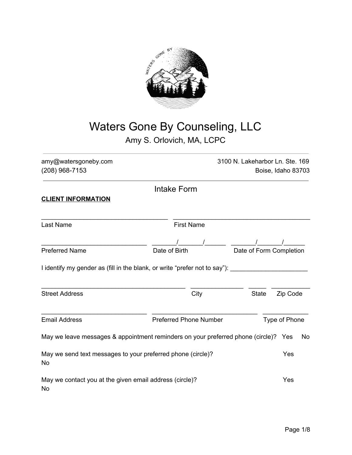

# Waters Gone By Counseling, LLC Amy S. Orlovich, MA, LCPC

amy@watersgoneby.com 3100 N. Lakeharbor Ln. Ste. 169 (208) 968-7153 Boise, Idaho 83703

Intake Form

## **CLIENT INFORMATION**

| Last Name                                                                           | <b>First Name</b>             |                          |
|-------------------------------------------------------------------------------------|-------------------------------|--------------------------|
| <b>Preferred Name</b>                                                               | Date of Birth                 | Date of Form Completion  |
| I identify my gender as (fill in the blank, or write "prefer not to say"): ______   |                               |                          |
| <b>Street Address</b>                                                               | City                          | <b>State</b><br>Zip Code |
| <b>Email Address</b>                                                                | <b>Preferred Phone Number</b> | Type of Phone            |
| May we leave messages & appointment reminders on your preferred phone (circle)? Yes |                               | No                       |
| May we send text messages to your preferred phone (circle)?<br>No.                  |                               | Yes                      |
| May we contact you at the given email address (circle)?<br>No                       |                               | Yes                      |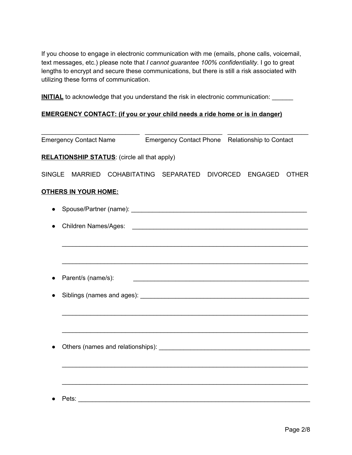If you choose to engage in electronic communication with me (emails, phone calls, voicemail, text messages, etc.) please note that *I cannot guarantee 100% confidentiality*. I go to great lengths to encrypt and secure these communications, but there is still a risk associated with utilizing these forms of communication.

**INITIAL** to acknowledge that you understand the risk in electronic communication: \_\_\_\_\_\_

## **EMERGENCY CONTACT: (if you or your child needs a ride home or is in danger)**

|               | <b>Emergency Contact Name</b>                       |  | Emergency Contact Phone Relationship to Contact |  |                  |              |
|---------------|-----------------------------------------------------|--|-------------------------------------------------|--|------------------|--------------|
|               | <b>RELATIONSHIP STATUS:</b> (circle all that apply) |  |                                                 |  |                  |              |
| <b>SINGLE</b> |                                                     |  | MARRIED COHABITATING SEPARATED                  |  | DIVORCED ENGAGED | <b>OTHER</b> |
|               | <b>OTHERS IN YOUR HOME:</b>                         |  |                                                 |  |                  |              |
|               |                                                     |  |                                                 |  |                  |              |
|               |                                                     |  |                                                 |  |                  |              |
|               |                                                     |  |                                                 |  |                  |              |
|               |                                                     |  |                                                 |  |                  |              |
|               | Parent/s (name/s):                                  |  |                                                 |  |                  |              |
|               |                                                     |  |                                                 |  |                  |              |
|               |                                                     |  |                                                 |  |                  |              |
|               |                                                     |  |                                                 |  |                  |              |
|               |                                                     |  |                                                 |  |                  |              |
|               |                                                     |  |                                                 |  |                  |              |
|               |                                                     |  |                                                 |  |                  |              |
|               | Pets:                                               |  |                                                 |  |                  |              |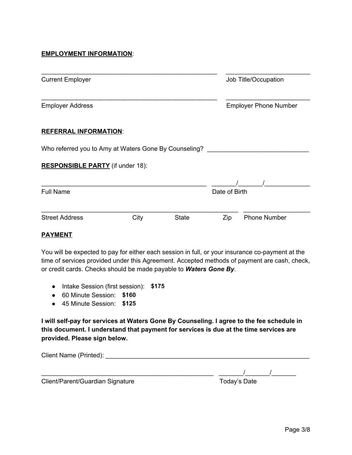#### **EMPLOYMENT INFORMATION**:

| <b>Current Employer</b>                               |      |              | Job Title/Occupation |                              |
|-------------------------------------------------------|------|--------------|----------------------|------------------------------|
| <b>Employer Address</b>                               |      |              |                      | <b>Employer Phone Number</b> |
| <b>REFERRAL INFORMATION:</b>                          |      |              |                      |                              |
| Who referred you to Amy at Waters Gone By Counseling? |      |              |                      |                              |
| <b>RESPONSIBLE PARTY</b> (if under 18):               |      |              |                      |                              |
| <b>Full Name</b>                                      |      |              | Date of Birth        |                              |
|                                                       |      |              |                      |                              |
| <b>Street Address</b>                                 | City | <b>State</b> | Zip                  | <b>Phone Number</b>          |

#### **PAYMENT**

You will be expected to pay for either each session in full, or your insurance co-payment at the time of services provided under this Agreement. Accepted methods of payment are cash, check, or credit cards. Checks should be made payable to *Waters Gone By*.

- Intake Session (first session): \$140 **\$175**
- 60 Minute Session: \$120 **\$160**
- 45 Minute Session: \$125

**I will self-pay for services at Waters Gone By Counseling. I agree to the fee schedule in this document. I understand that payment for services is due at the time services are provided. Please sign below.**

| Client Name (Printed):           |              |
|----------------------------------|--------------|
|                                  |              |
| Client/Parent/Guardian Signature | Today's Date |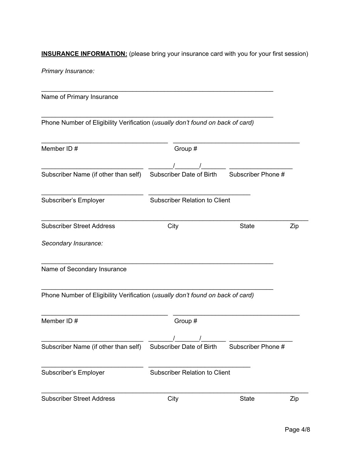**INSURANCE INFORMATION:** (please bring your insurance card with you for your first session)

*Primary Insurance:*

Name of Primary Insurance

Phone Number of Eligibility Verification (*usually don't found on back of card)*

\_\_\_\_\_\_\_\_\_\_\_\_\_\_\_\_\_\_\_\_\_\_\_\_\_\_\_\_\_\_\_\_\_\_\_\_\_\_\_\_\_\_\_\_\_\_\_\_\_\_\_\_\_\_\_\_\_\_\_\_\_\_\_\_\_\_

\_\_\_\_\_\_\_\_\_\_\_\_\_\_\_\_\_\_\_\_\_\_\_\_\_\_\_\_\_\_\_\_\_\_\_\_\_\_\_\_\_\_\_\_\_\_\_\_\_\_\_\_\_\_\_\_\_\_\_\_\_\_\_\_\_\_

| Member ID#                                                                     | Group #                              |                    |     |
|--------------------------------------------------------------------------------|--------------------------------------|--------------------|-----|
|                                                                                |                                      |                    |     |
| Subscriber Name (if other than self)                                           | Subscriber Date of Birth             | Subscriber Phone # |     |
| Subscriber's Employer                                                          | <b>Subscriber Relation to Client</b> |                    |     |
| <b>Subscriber Street Address</b>                                               | City                                 | <b>State</b>       | Zip |
| Secondary Insurance:                                                           |                                      |                    |     |
| Name of Secondary Insurance                                                    |                                      |                    |     |
| Phone Number of Eligibility Verification (usually don't found on back of card) |                                      |                    |     |
| Member ID#                                                                     | Group #                              |                    |     |
| Subscriber Name (if other than self)                                           | Subscriber Date of Birth             | Subscriber Phone # |     |
| Subscriber's Employer                                                          | <b>Subscriber Relation to Client</b> |                    |     |
| <b>Subscriber Street Address</b>                                               | City                                 | <b>State</b>       | Zip |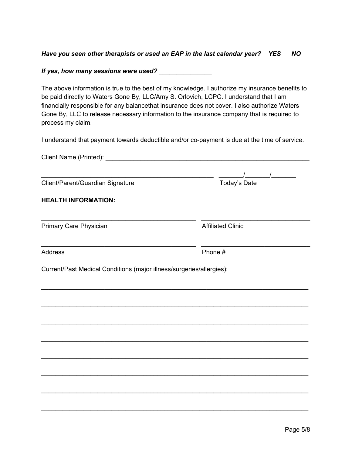### *Have you seen other therapists or used an EAP in the last calendar year? YES NO*

#### *If yes, how many sessions were used? \_\_\_\_\_\_\_\_\_\_\_\_\_\_\_*

The above information is true to the best of my knowledge. I authorize my insurance benefits to be paid directly to Waters Gone By, LLC/Amy S. Orlovich, LCPC. I understand that I am financially responsible for any balancethat insurance does not cover. I also authorize Waters Gone By, LLC to release necessary information to the insurance company that is required to process my claim.

I understand that payment towards deductible and/or co-payment is due at the time of service.

| Client/Parent/Guardian Signature                                     | $\frac{1}{2}$ $\frac{1}{2}$ $\frac{1}{2}$ $\frac{1}{2}$ $\frac{1}{2}$ $\frac{1}{2}$ $\frac{1}{2}$ $\frac{1}{2}$ $\frac{1}{2}$ $\frac{1}{2}$ $\frac{1}{2}$ $\frac{1}{2}$ $\frac{1}{2}$ $\frac{1}{2}$ $\frac{1}{2}$ $\frac{1}{2}$ $\frac{1}{2}$ $\frac{1}{2}$ $\frac{1}{2}$ $\frac{1}{2}$ $\frac{1}{2}$ $\frac{1}{2}$<br>Today's Date |
|----------------------------------------------------------------------|-------------------------------------------------------------------------------------------------------------------------------------------------------------------------------------------------------------------------------------------------------------------------------------------------------------------------------------|
| <b>HEALTH INFORMATION:</b>                                           |                                                                                                                                                                                                                                                                                                                                     |
|                                                                      |                                                                                                                                                                                                                                                                                                                                     |
| Primary Care Physician                                               | <b>Affiliated Clinic</b>                                                                                                                                                                                                                                                                                                            |
| <b>Address</b>                                                       | Phone#                                                                                                                                                                                                                                                                                                                              |
| Current/Past Medical Conditions (major illness/surgeries/allergies): |                                                                                                                                                                                                                                                                                                                                     |
|                                                                      |                                                                                                                                                                                                                                                                                                                                     |
|                                                                      |                                                                                                                                                                                                                                                                                                                                     |
|                                                                      |                                                                                                                                                                                                                                                                                                                                     |
|                                                                      |                                                                                                                                                                                                                                                                                                                                     |
|                                                                      |                                                                                                                                                                                                                                                                                                                                     |
|                                                                      |                                                                                                                                                                                                                                                                                                                                     |
|                                                                      |                                                                                                                                                                                                                                                                                                                                     |
|                                                                      |                                                                                                                                                                                                                                                                                                                                     |

\_\_\_\_\_\_\_\_\_\_\_\_\_\_\_\_\_\_\_\_\_\_\_\_\_\_\_\_\_\_\_\_\_\_\_\_\_\_\_\_\_\_\_\_\_\_\_\_\_\_\_\_\_\_\_\_\_\_\_\_\_\_\_\_\_\_\_\_\_\_\_\_\_\_\_\_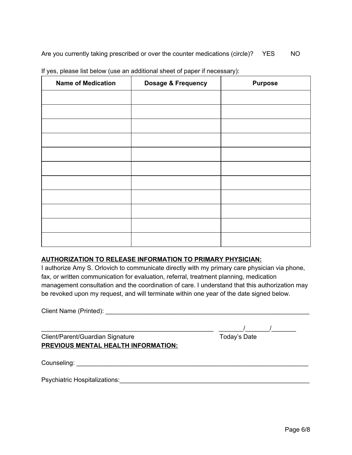| <b>Name of Medication</b> | Dosage & Frequency | <b>Purpose</b> |
|---------------------------|--------------------|----------------|
|                           |                    |                |
|                           |                    |                |
|                           |                    |                |
|                           |                    |                |
|                           |                    |                |
|                           |                    |                |
|                           |                    |                |
|                           |                    |                |
|                           |                    |                |
|                           |                    |                |
|                           |                    |                |

If yes, please list below (use an additional sheet of paper if necessary):

#### **AUTHORIZATION TO RELEASE INFORMATION TO PRIMARY PHYSICIAN:**

I authorize Amy S. Orlovich to communicate directly with my primary care physician via phone, fax, or written communication for evaluation, referral, treatment planning, medication management consultation and the coordination of care. I understand that this authorization may be revoked upon my request, and will terminate within one year of the date signed below.

| Client Name (Printed): |
|------------------------|
|------------------------|

Client/Parent/Guardian Signature **PREVIOUS MENTAL HEALTH INFORMATION:**

| Today's Date |  |
|--------------|--|
|--------------|--|

\_\_\_\_\_\_\_\_\_\_\_\_\_\_\_\_\_\_\_\_\_\_\_\_\_\_\_\_\_\_\_\_\_\_\_\_\_\_\_\_\_\_\_\_\_\_\_\_\_ \_\_\_\_\_\_\_/\_\_\_\_\_\_\_/\_\_\_\_\_\_\_

Counseling: \_\_\_\_\_\_\_\_\_\_\_\_\_\_\_\_\_\_\_\_\_\_\_\_\_\_\_\_\_\_\_\_\_\_\_\_\_\_\_\_\_\_\_\_\_\_\_\_\_\_\_\_\_\_\_\_\_\_\_\_\_\_\_\_\_\_

Psychiatric Hospitalizations:<br>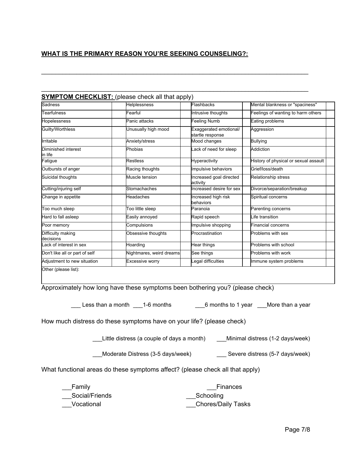# **WHAT IS THE PRIMARY REASON YOU'RE SEEKING COUNSELING?:**

\_\_\_\_\_\_\_\_\_\_\_\_\_\_\_\_\_\_\_\_\_\_\_\_\_\_\_\_\_\_\_\_\_\_\_\_\_\_\_\_\_\_\_\_\_\_\_\_\_\_\_\_\_\_\_\_\_\_\_\_\_\_\_\_\_\_\_\_\_\_\_\_\_\_\_\_

\_\_\_\_\_\_\_\_\_\_\_\_\_\_\_\_\_\_\_\_\_\_\_\_\_\_\_\_\_\_\_\_\_\_\_\_\_\_\_\_\_\_\_\_\_\_\_\_\_\_\_\_\_\_\_\_\_\_\_\_\_\_\_\_\_\_\_\_\_\_\_\_\_\_\_\_

| Sadness                        | Helplessness             | Flashbacks                                 | Mental blankness or "spaciness"       |
|--------------------------------|--------------------------|--------------------------------------------|---------------------------------------|
| <b>Tearfulness</b>             | Fearful                  | Intrusive thoughts                         | Feelings of wanting to harm others    |
| Hopelessness                   | Panic attacks            | Feeling Numb                               | Eating problems                       |
| Guilty/Worthless               | Unusually high mood      | Exaggerated emotional/<br>startle response | Aggression                            |
| Irritable                      | Anxiety/stress           | Mood changes                               | <b>Bullying</b>                       |
| Diminished interest<br>in life | Phobias                  | Lack of need for sleep                     | Addiction                             |
| Fatigue                        | <b>Restless</b>          | Hyperactivity                              | History of physical or sexual assault |
| Outbursts of anger             | Racing thoughts          | Impulsive behaviors                        | Grief/loss/death                      |
| Suicidal thoughts              | Muscle tension           | Increased goal directed<br>activity        | Relationship stress                   |
| Cutting/injuring self          | Stomachaches             | Increased desire for sex                   | Divorce/separation/breakup            |
| Change in appetite             | Headaches                | Increased high risk<br>behaviors           | Spiritual concerns                    |
| Too much sleep                 | Too little sleep         | Paranoia                                   | Parenting concerns                    |
| Hard to fall asleep            | Easily annoved           | Rapid speech                               | Life transition                       |
| Poor memory                    | Compulsions              | Impulsive shopping                         | <b>Financial concerns</b>             |
| Difficulty making<br>decisions | Obsessive thoughts       | Procrastination                            | Problems with sex                     |
| Lack of interest in sex        | Hoarding                 | Hear things                                | Problems with school                  |
| Don't like all or part of self | Nightmares, weird dreams | See things                                 | Problems with work                    |
| Adjustment to new situation    | <b>Excessive worry</b>   | Legal difficulties                         | Immune system problems                |

Approximately how long have these symptoms been bothering you? (please check)

Less than a month \_\_\_1-6 months \_\_\_\_\_\_\_\_\_\_\_\_\_\_\_\_\_\_\_\_\_\_\_6 months to 1 year \_\_\_\_More than a year

How much distress do these symptoms have on your life? (please check)

\_\_\_Little distress (a couple of days a month) \_\_\_Minimal distress (1-2 days/week)

\_\_\_Moderate Distress (3-5 days/week) \_\_\_ Severe distress (5-7 days/week)

What functional areas do these symptoms affect? (please check all that apply)

| Family         | Finances                  |
|----------------|---------------------------|
| Social/Friends | Schooling                 |
| Vocational     | <b>Chores/Daily Tasks</b> |